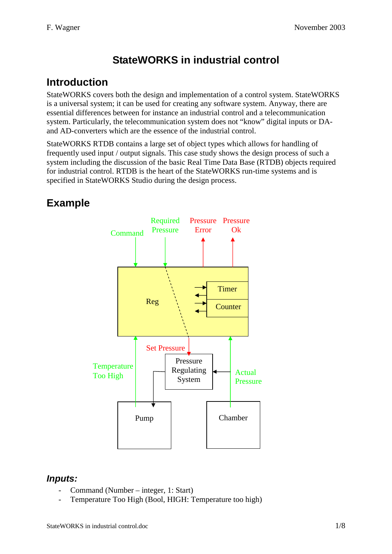# **StateWORKS in industrial control**

### **Introduction**

StateWORKS covers both the design and implementation of a control system. StateWORKS is a universal system; it can be used for creating any software system. Anyway, there are essential differences between for instance an industrial control and a telecommunication system. Particularly, the telecommunication system does not "know" digital inputs or DAand AD-converters which are the essence of the industrial control.

StateWORKS RTDB contains a large set of object types which allows for handling of frequently used input / output signals. This case study shows the design process of such a system including the discussion of the basic Real Time Data Base (RTDB) objects required for industrial control. RTDB is the heart of the StateWORKS run-time systems and is specified in StateWORKS Studio during the design process.

## **Example**



#### *Inputs:*

- Command (Number integer, 1: Start)
- Temperature Too High (Bool, HIGH: Temperature too high)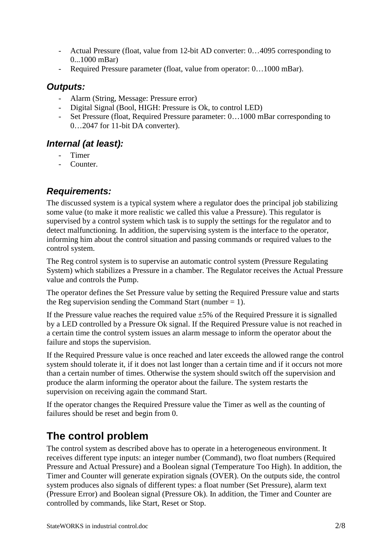- Actual Pressure (float, value from 12-bit AD converter: 0…4095 corresponding to 0...1000 mBar)
- Required Pressure parameter (float, value from operator: 0…1000 mBar).

#### *Outputs:*

- Alarm (String, Message: Pressure error)
- Digital Signal (Bool, HIGH: Pressure is Ok, to control LED)
- Set Pressure (float, Required Pressure parameter: 0…1000 mBar corresponding to 0…2047 for 11-bit DA converter).

#### *Internal (at least):*

- Timer
- Counter.

### *Requirements:*

The discussed system is a typical system where a regulator does the principal job stabilizing some value (to make it more realistic we called this value a Pressure). This regulator is supervised by a control system which task is to supply the settings for the regulator and to detect malfunctioning. In addition, the supervising system is the interface to the operator, informing him about the control situation and passing commands or required values to the control system.

The Reg control system is to supervise an automatic control system (Pressure Regulating System) which stabilizes a Pressure in a chamber. The Regulator receives the Actual Pressure value and controls the Pump.

The operator defines the Set Pressure value by setting the Required Pressure value and starts the Reg supervision sending the Command Start (number  $= 1$ ).

If the Pressure value reaches the required value  $\pm 5\%$  of the Required Pressure it is signalled by a LED controlled by a Pressure Ok signal. If the Required Pressure value is not reached in a certain time the control system issues an alarm message to inform the operator about the failure and stops the supervision.

If the Required Pressure value is once reached and later exceeds the allowed range the control system should tolerate it, if it does not last longer than a certain time and if it occurs not more than a certain number of times. Otherwise the system should switch off the supervision and produce the alarm informing the operator about the failure. The system restarts the supervision on receiving again the command Start.

If the operator changes the Required Pressure value the Timer as well as the counting of failures should be reset and begin from 0.

# **The control problem**

The control system as described above has to operate in a heterogeneous environment. It receives different type inputs: an integer number (Command), two float numbers (Required Pressure and Actual Pressure) and a Boolean signal (Temperature Too High). In addition, the Timer and Counter will generate expiration signals (OVER). On the outputs side, the control system produces also signals of different types: a float number (Set Pressure), alarm text (Pressure Error) and Boolean signal (Pressure Ok). In addition, the Timer and Counter are controlled by commands, like Start, Reset or Stop.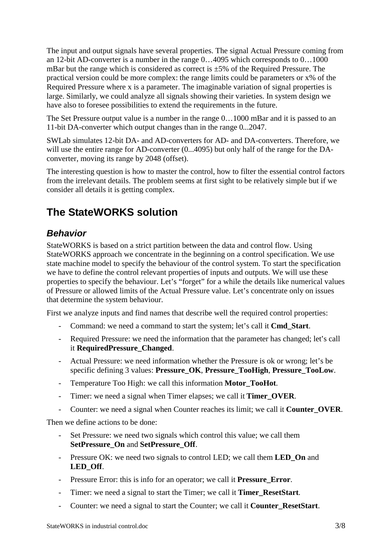The input and output signals have several properties. The signal Actual Pressure coming from an 12-bit AD-converter is a number in the range 0…4095 which corresponds to 0…1000 mBar but the range which is considered as correct is  $\pm$ 5% of the Required Pressure. The practical version could be more complex: the range limits could be parameters or x% of the Required Pressure where x is a parameter. The imaginable variation of signal properties is large. Similarly, we could analyze all signals showing their varieties. In system design we have also to foresee possibilities to extend the requirements in the future.

The Set Pressure output value is a number in the range 0…1000 mBar and it is passed to an 11-bit DA-converter which output changes than in the range 0...2047.

SWLab simulates 12-bit DA- and AD-converters for AD- and DA-converters. Therefore, we will use the entire range for AD-converter  $(0...4095)$  but only half of the range for the DAconverter, moving its range by 2048 (offset).

The interesting question is how to master the control, how to filter the essential control factors from the irrelevant details. The problem seems at first sight to be relatively simple but if we consider all details it is getting complex.

### **The StateWORKS solution**

### *Behavior*

StateWORKS is based on a strict partition between the data and control flow. Using StateWORKS approach we concentrate in the beginning on a control specification. We use state machine model to specify the behaviour of the control system. To start the specification we have to define the control relevant properties of inputs and outputs. We will use these properties to specify the behaviour. Let's "forget" for a while the details like numerical values of Pressure or allowed limits of the Actual Pressure value. Let's concentrate only on issues that determine the system behaviour.

First we analyze inputs and find names that describe well the required control properties:

- Command: we need a command to start the system; let's call it **Cmd\_Start**.
- Required Pressure: we need the information that the parameter has changed; let's call it **RequiredPressure\_Changed**.
- Actual Pressure: we need information whether the Pressure is ok or wrong; let's be specific defining 3 values: **Pressure\_OK**, **Pressure\_TooHigh**, **Pressure\_TooLow**.
- Temperature Too High: we call this information **Motor\_TooHot**.
- Timer: we need a signal when Timer elapses; we call it **Timer\_OVER**.
- Counter: we need a signal when Counter reaches its limit; we call it **Counter\_OVER**.

Then we define actions to be done:

- Set Pressure: we need two signals which control this value; we call them **SetPressure\_On** and **SetPressure\_Off**.
- Pressure OK: we need two signals to control LED; we call them **LED\_On** and **LED\_Off**.
- Pressure Error: this is info for an operator; we call it **Pressure\_Error**.
- Timer: we need a signal to start the Timer; we call it **Timer\_ResetStart**.
- Counter: we need a signal to start the Counter; we call it **Counter\_ResetStart**.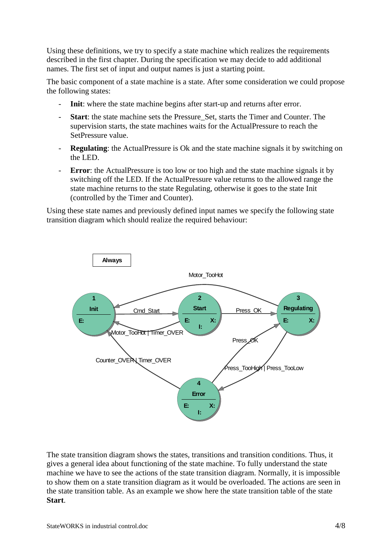Using these definitions, we try to specify a state machine which realizes the requirements described in the first chapter. During the specification we may decide to add additional names. The first set of input and output names is just a starting point.

The basic component of a state machine is a state. After some consideration we could propose the following states:

- **Init**: where the state machine begins after start-up and returns after error.
- **Start**: the state machine sets the Pressure\_Set, starts the Timer and Counter. The supervision starts, the state machines waits for the ActualPressure to reach the SetPressure value.
- **Regulating**: the ActualPressure is Ok and the state machine signals it by switching on the LED.
- **Error**: the ActualPressure is too low or too high and the state machine signals it by switching off the LED. If the ActualPressure value returns to the allowed range the state machine returns to the state Regulating, otherwise it goes to the state Init (controlled by the Timer and Counter).

Using these state names and previously defined input names we specify the following state transition diagram which should realize the required behaviour:



The state transition diagram shows the states, transitions and transition conditions. Thus, it gives a general idea about functioning of the state machine. To fully understand the state machine we have to see the actions of the state transition diagram. Normally, it is impossible to show them on a state transition diagram as it would be overloaded. The actions are seen in the state transition table. As an example we show here the state transition table of the state **Start**.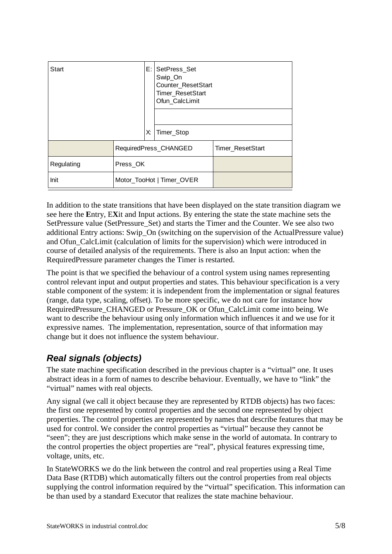| Start      |                           |    | E: SetPress_Set<br>Swip_On<br>Counter_ResetStart<br>Timer_ResetStart<br>Ofun CalcLimit |                  |
|------------|---------------------------|----|----------------------------------------------------------------------------------------|------------------|
|            |                           | Х. | Timer_Stop                                                                             |                  |
|            | RequiredPress_CHANGED     |    |                                                                                        | Timer ResetStart |
| Regulating | Press OK                  |    |                                                                                        |                  |
| Init       | Motor_TooHot   Timer_OVER |    |                                                                                        |                  |

In addition to the state transitions that have been displayed on the state transition diagram we see here the **E**ntry, E**X**it and Input actions. By entering the state the state machine sets the SetPressure value (SetPressure Set) and starts the Timer and the Counter. We see also two additional Entry actions: Swip\_On (switching on the supervision of the ActualPressure value) and Ofun\_CalcLimit (calculation of limits for the supervision) which were introduced in course of detailed analysis of the requirements. There is also an Input action: when the RequiredPressure parameter changes the Timer is restarted.

The point is that we specified the behaviour of a control system using names representing control relevant input and output properties and states. This behaviour specification is a very stable component of the system: it is independent from the implementation or signal features (range, data type, scaling, offset). To be more specific, we do not care for instance how RequiredPressure\_CHANGED or Pressure\_OK or Ofun\_CalcLimit come into being. We want to describe the behaviour using only information which influences it and we use for it expressive names. The implementation, representation, source of that information may change but it does not influence the system behaviour.

### *Real signals (objects)*

The state machine specification described in the previous chapter is a "virtual" one. It uses abstract ideas in a form of names to describe behaviour. Eventually, we have to "link" the "virtual" names with real objects.

Any signal (we call it object because they are represented by RTDB objects) has two faces: the first one represented by control properties and the second one represented by object properties. The control properties are represented by names that describe features that may be used for control. We consider the control properties as "virtual" because they cannot be "seen"; they are just descriptions which make sense in the world of automata. In contrary to the control properties the object properties are "real", physical features expressing time, voltage, units, etc.

In StateWORKS we do the link between the control and real properties using a Real Time Data Base (RTDB) which automatically filters out the control properties from real objects supplying the control information required by the "virtual" specification. This information can be than used by a standard Executor that realizes the state machine behaviour.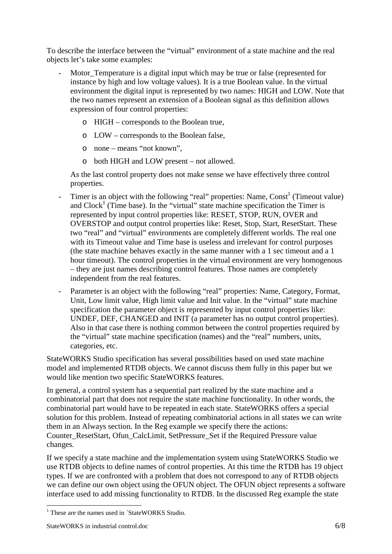To describe the interface between the "virtual" environment of a state machine and the real objects let's take some examples:

- Motor\_Temperature is a digital input which may be true or false (represented for instance by high and low voltage values). It is a true Boolean value. In the virtual environment the digital input is represented by two names: HIGH and LOW. Note that the two names represent an extension of a Boolean signal as this definition allows expression of four control properties:
	- o HIGH corresponds to the Boolean true,
	- o LOW corresponds to the Boolean false,
	- o none means "not known",
	- o both HIGH and LOW present not allowed.

As the last control property does not make sense we have effectively three control properties.

- Timer is an object with the following "real" properties: Name,  $Const<sup>1</sup>$  (Timeout value) and  $Clock<sup>1</sup>$  (Time base). In the "virtual" state machine specification the Timer is represented by input control properties like: RESET, STOP, RUN, OVER and OVERSTOP and output control properties like: Reset, Stop, Start, ResetStart. These two "real" and "virtual" environments are completely different worlds. The real one with its Timeout value and Time base is useless and irrelevant for control purposes (the state machine behaves exactly in the same manner with a 1 sec timeout and a 1 hour timeout). The control properties in the virtual environment are very homogenous – they are just names describing control features. Those names are completely independent from the real features.
- Parameter is an object with the following "real" properties: Name, Category, Format, Unit, Low limit value, High limit value and Init value. In the "virtual" state machine specification the parameter object is represented by input control properties like: UNDEF, DEF, CHANGED and INIT (a parameter has no output control properties). Also in that case there is nothing common between the control properties required by the "virtual" state machine specification (names) and the "real" numbers, units, categories, etc.

StateWORKS Studio specification has several possibilities based on used state machine model and implemented RTDB objects. We cannot discuss them fully in this paper but we would like mention two specific StateWORKS features.

In general, a control system has a sequential part realized by the state machine and a combinatorial part that does not require the state machine functionality. In other words, the combinatorial part would have to be repeated in each state. StateWORKS offers a special solution for this problem. Instead of repeating combinatorial actions in all states we can write them in an Always section. In the Reg example we specify there the actions: Counter\_ResetStart, Ofun\_CalcLimit, SetPressure\_Set if the Required Pressure value changes.

If we specify a state machine and the implementation system using StateWORKS Studio we use RTDB objects to define names of control properties. At this time the RTDB has 19 object types. If we are confronted with a problem that does not correspond to any of RTDB objects we can define our own object using the OFUN object. The OFUN object represents a software interface used to add missing functionality to RTDB. In the discussed Reg example the state

 $\overline{a}$ <sup>1</sup> These are the names used in ´StateWORKS Studio.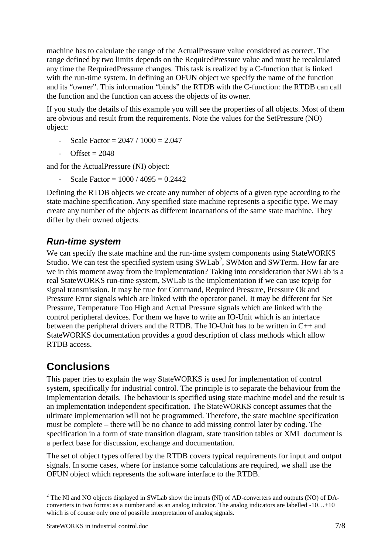machine has to calculate the range of the ActualPressure value considered as correct. The range defined by two limits depends on the RequiredPressure value and must be recalculated any time the RequiredPressure changes. This task is realized by a C-function that is linked with the run-time system. In defining an OFUN object we specify the name of the function and its "owner". This information "binds" the RTDB with the C-function: the RTDB can call the function and the function can access the objects of its owner.

If you study the details of this example you will see the properties of all objects. Most of them are obvious and result from the requirements. Note the values for the SetPressure (NO) object:

- Scale Factor =  $2047 / 1000 = 2.047$
- $-$  Offset = 2048

and for the ActualPressure (NI) object:

Scale Factor =  $1000 / 4095 = 0.2442$ 

Defining the RTDB objects we create any number of objects of a given type according to the state machine specification. Any specified state machine represents a specific type. We may create any number of the objects as different incarnations of the same state machine. They differ by their owned objects.

#### *Run-time system*

We can specify the state machine and the run-time system components using StateWORKS Studio. We can test the specified system using  $SWLab^2$ , SWMon and SWTerm. How far are we in this moment away from the implementation? Taking into consideration that SWLab is a real StateWORKS run-time system, SWLab is the implementation if we can use tcp/ip for signal transmission. It may be true for Command, Required Pressure, Pressure Ok and Pressure Error signals which are linked with the operator panel. It may be different for Set Pressure, Temperature Too High and Actual Pressure signals which are linked with the control peripheral devices. For them we have to write an IO-Unit which is an interface between the peripheral drivers and the RTDB. The IO-Unit has to be written in C++ and StateWORKS documentation provides a good description of class methods which allow RTDB access.

### **Conclusions**

This paper tries to explain the way StateWORKS is used for implementation of control system, specifically for industrial control. The principle is to separate the behaviour from the implementation details. The behaviour is specified using state machine model and the result is an implementation independent specification. The StateWORKS concept assumes that the ultimate implementation will not be programmed. Therefore, the state machine specification must be complete – there will be no chance to add missing control later by coding. The specification in a form of state transition diagram, state transition tables or XML document is a perfect base for discussion, exchange and documentation.

The set of object types offered by the RTDB covers typical requirements for input and output signals. In some cases, where for instance some calculations are required, we shall use the OFUN object which represents the software interface to the RTDB.

 $\overline{a}$ <sup>2</sup> The NI and NO objects displayed in SWLab show the inputs (NI) of AD-converters and outputs (NO) of DAconverters in two forms: as a number and as an analog indicator. The analog indicators are labelled -10…+10 which is of course only one of possible interpretation of analog signals.